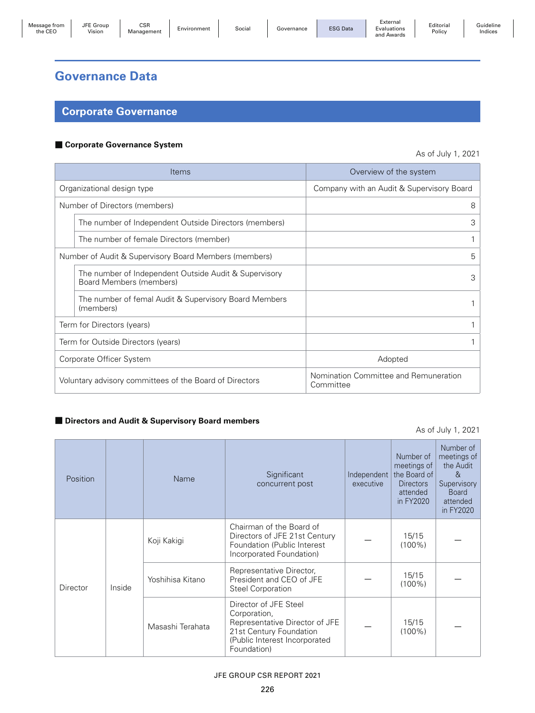| Message from<br>the CEO | JFE Group<br>Vision | <b>CSR</b><br>Management | Environment | Social | Governance | <b>ESG Data</b> | External<br>Evaluations<br>an<br>Awards | Editorial<br>Policy | Guideline<br>Indices |
|-------------------------|---------------------|--------------------------|-------------|--------|------------|-----------------|-----------------------------------------|---------------------|----------------------|
|                         |                     |                          |             |        |            |                 |                                         |                     |                      |

# **Governance Data**

# **Corporate Governance**

## ■ Corporate Governance System

As of July 1, 2021

| Items                                                                            | Overview of the system                             |
|----------------------------------------------------------------------------------|----------------------------------------------------|
| Organizational design type                                                       | Company with an Audit & Supervisory Board          |
| Number of Directors (members)                                                    | 8                                                  |
| The number of Independent Outside Directors (members)                            | 3                                                  |
| The number of female Directors (member)                                          |                                                    |
| Number of Audit & Supervisory Board Members (members)                            | 5                                                  |
| The number of Independent Outside Audit & Supervisory<br>Board Members (members) | 3                                                  |
| The number of femal Audit & Supervisory Board Members<br>(members)               |                                                    |
| Term for Directors (years)                                                       |                                                    |
| Term for Outside Directors (years)                                               |                                                    |
| Corporate Officer System                                                         | Adopted                                            |
| Voluntary advisory committees of the Board of Directors                          | Nomination Committee and Remuneration<br>Committee |

#### ■ Directors and Audit & Supervisory Board members

As of July 1, 2021

| Position |        | Name             | Significant<br>concurrent post                                                                                                                     | executive | Number of<br>meetings of<br>Independent   the Board of<br><b>Directors</b><br>attended<br>in FY2020 | Number of<br>meetings of<br>the Audit<br>$\alpha$<br>Supervisory<br><b>Board</b><br>attended<br>in FY2020 |
|----------|--------|------------------|----------------------------------------------------------------------------------------------------------------------------------------------------|-----------|-----------------------------------------------------------------------------------------------------|-----------------------------------------------------------------------------------------------------------|
|          |        | Koji Kakigi      | Chairman of the Board of<br>Directors of JFE 21st Century<br>Foundation (Public Interest<br>Incorporated Foundation)                               |           | 15/15<br>$(100\%)$                                                                                  |                                                                                                           |
| Director | Inside | Yoshihisa Kitano | Representative Director,<br>President and CEO of JFE<br><b>Steel Corporation</b>                                                                   |           | 15/15<br>$(100\%)$                                                                                  |                                                                                                           |
|          |        | Masashi Terahata | Director of JFE Steel<br>Corporation,<br>Representative Director of JFE<br>21st Century Foundation<br>(Public Interest Incorporated<br>Foundation) |           | 15/15<br>$(100\%)$                                                                                  |                                                                                                           |

## JFE GROUP CSR REPORT 2021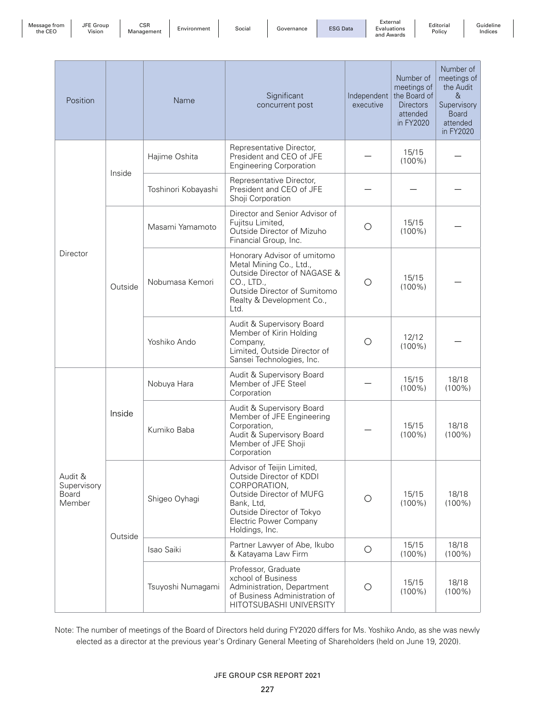CSR

L'Oroup Contracte Controlle Environment | Social | Governance | ESG Data

External Evaluations and Awards

Editorial Policy

Guideline Indices

| Position                                  |         | Name                                                                                                    | Significant<br>concurrent post                                                                                                                                                                   | Independent<br>executive | Number of<br>meetings of<br>the Board of<br><b>Directors</b><br>attended<br>in FY2020 | Number of<br>meetings of<br>the Audit<br>&<br>Supervisory<br><b>Board</b><br>attended<br>in FY2020 |
|-------------------------------------------|---------|---------------------------------------------------------------------------------------------------------|--------------------------------------------------------------------------------------------------------------------------------------------------------------------------------------------------|--------------------------|---------------------------------------------------------------------------------------|----------------------------------------------------------------------------------------------------|
|                                           | Inside  | Representative Director,<br>President and CEO of JFE<br>Hajime Oshita<br><b>Engineering Corporation</b> |                                                                                                                                                                                                  |                          | 15/15<br>$(100\%)$                                                                    |                                                                                                    |
|                                           |         | Toshinori Kobayashi                                                                                     | Representative Director,<br>President and CEO of JFE<br>Shoji Corporation                                                                                                                        |                          |                                                                                       |                                                                                                    |
| Director                                  |         | Masami Yamamoto                                                                                         | Director and Senior Advisor of<br>Fujitsu Limited,<br>Outside Director of Mizuho<br>Financial Group, Inc.                                                                                        | O                        | 15/15<br>$(100\%)$                                                                    |                                                                                                    |
|                                           | Outside | Nobumasa Kemori                                                                                         | Honorary Advisor of umitomo<br>Metal Mining Co., Ltd.,<br>Outside Director of NAGASE &<br>CO., LTD.,<br>Outside Director of Sumitomo<br>Realty & Development Co.,<br>Ltd.                        | O                        | 15/15<br>$(100\%)$                                                                    |                                                                                                    |
|                                           |         | Yoshiko Ando                                                                                            | Audit & Supervisory Board<br>Member of Kirin Holding<br>Company,<br>Limited, Outside Director of<br>Sansei Technologies, Inc.                                                                    | O                        | 12/12<br>$(100\%)$                                                                    |                                                                                                    |
|                                           |         | Nobuya Hara                                                                                             | Audit & Supervisory Board<br>Member of JFE Steel<br>Corporation                                                                                                                                  |                          | 15/15<br>$(100\%)$                                                                    | 18/18<br>$(100\%)$                                                                                 |
|                                           | Inside  | Kumiko Baba                                                                                             | Audit & Supervisory Board<br>Member of JFE Engineering<br>Corporation,<br>Audit & Supervisory Board<br>Member of JFE Shoji<br>Corporation                                                        |                          | 15/15<br>$(100\%)$                                                                    | 18/18<br>$(100\%)$                                                                                 |
| Audit &<br>Supervisory<br>Board<br>Member |         | Shigeo Oyhagi                                                                                           | Advisor of Teijin Limited,<br>Outside Director of KDDI<br>CORPORATION,<br>Outside Director of MUFG<br>Bank, Ltd,<br>Outside Director of Tokyo<br><b>Electric Power Company</b><br>Holdings, Inc. | $\bigcirc$               | 15/15<br>$(100\%)$                                                                    | 18/18<br>$(100\%)$                                                                                 |
|                                           | Outside | Isao Saiki                                                                                              | Partner Lawyer of Abe, Ikubo<br>& Katayama Law Firm                                                                                                                                              | $\bigcirc$               | 15/15<br>$(100\%)$                                                                    | 18/18<br>$(100\%)$                                                                                 |
|                                           |         | Tsuyoshi Numagami                                                                                       | Professor, Graduate<br>xchool of Business<br>Administration, Department<br>of Business Administration of<br>HITOTSUBASHI UNIVERSITY                                                              | O                        | 15/15<br>$(100\%)$                                                                    | 18/18<br>$(100\%)$                                                                                 |

Note: The number of meetings of the Board of Directors held during FY2020 differs for Ms. Yoshiko Ando, as she was newly elected as a director at the previous year's Ordinary General Meeting of Shareholders (held on June 19, 2020).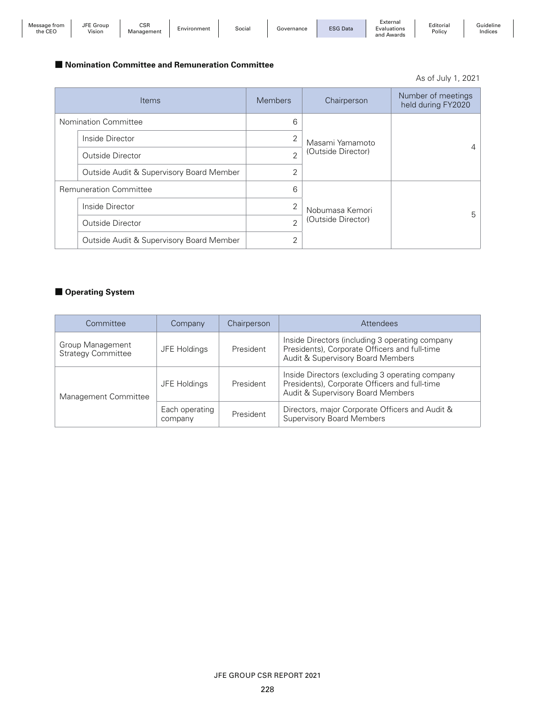| Message from<br>$\sim$<br>the CEC | JFE Group<br>Vision | <b>CSF</b><br>anagement | -<br>/ironment<br>En' | Social | Governance | <b>ESG Data</b> | :xterna<br>valuations:<br>Awards<br>and | Editorial<br>Policy | suideline<br>Indices |
|-----------------------------------|---------------------|-------------------------|-----------------------|--------|------------|-----------------|-----------------------------------------|---------------------|----------------------|
|                                   |                     |                         |                       |        |            |                 |                                         |                     |                      |

#### ■ **Nomination Committee and Remuneration Committee**

Items Members Chairperson Number of meetings held during FY2020 Nomination Committee 6 Masami Yamamoto (Outside Director) <sup>4</sup> Inside Director 2 Outside Director 2 Outside Audit & Supervisory Board Member 2 Remuneration Committee 6 Nobumasa Kemori (Outside Director) <sup>5</sup> Inside Director 2 Outside Director 2 Outside Audit & Supervisory Board Member | 2 As of July 1, 2021

#### ■ Operating System

| Committee                                     | Company                                | Chairperson | Attendees                                                                                                                             |  |
|-----------------------------------------------|----------------------------------------|-------------|---------------------------------------------------------------------------------------------------------------------------------------|--|
| Group Management<br><b>Strategy Committee</b> | JFE Holdings                           | President   | Inside Directors (including 3 operating company<br>Presidents), Corporate Officers and full-time<br>Audit & Supervisory Board Members |  |
| Management Committee                          | JFE Holdings                           | President   | Inside Directors (excluding 3 operating company<br>Presidents), Corporate Officers and full-time<br>Audit & Supervisory Board Members |  |
|                                               | Each operating<br>President<br>company |             | Directors, major Corporate Officers and Audit &<br><b>Supervisory Board Members</b>                                                   |  |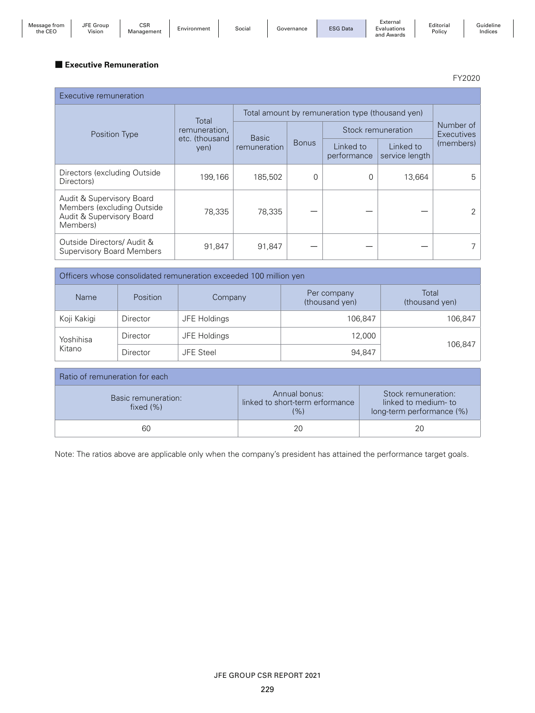| Message from<br>the CEO | JFE Group<br>Vision | <b>CSR</b><br>Manaαement | Environment | Social | Governance | <b>ESG Data</b> | External<br>Evaluations<br>and Awards | Editorial<br>Policy | Guideline<br>Indices |
|-------------------------|---------------------|--------------------------|-------------|--------|------------|-----------------|---------------------------------------|---------------------|----------------------|
|                         |                     |                          |             |        |            |                 |                                       |                     |                      |

# ■ **Executive Remuneration**

FY2020

| Executive remuneration                                                                           |                                                        |                                                  |              |                          |                             |                         |  |  |  |
|--------------------------------------------------------------------------------------------------|--------------------------------------------------------|--------------------------------------------------|--------------|--------------------------|-----------------------------|-------------------------|--|--|--|
|                                                                                                  | Total                                                  | Total amount by remuneration type (thousand yen) |              |                          |                             |                         |  |  |  |
| Position Type                                                                                    | remuneration,                                          |                                                  |              |                          | Stock remuneration          | Number of<br>Executives |  |  |  |
|                                                                                                  | <b>Basic</b><br>etc. (thousand<br>remuneration<br>yen) |                                                  | <b>Bonus</b> | Linked to<br>performance | Linked to<br>service length | (members)               |  |  |  |
| Directors (excluding Outside<br>Directors)                                                       | 199,166                                                | 185.502                                          | 0            | 0                        | 13,664                      | 5                       |  |  |  |
| Audit & Supervisory Board<br>Members (excluding Outside<br>Audit & Supervisory Board<br>Members) | 78,335                                                 | 78,335                                           |              |                          |                             |                         |  |  |  |
| Outside Directors/ Audit &<br><b>Supervisory Board Members</b>                                   | 91,847                                                 | 91,847                                           |              |                          |                             |                         |  |  |  |

| Officers whose consolidated remuneration exceeded 100 million yen |          |                  |                               |                         |  |  |  |
|-------------------------------------------------------------------|----------|------------------|-------------------------------|-------------------------|--|--|--|
| <b>Name</b>                                                       | Position | Company          | Per company<br>(thousand yen) | Total<br>(thousand yen) |  |  |  |
| Koji Kakigi                                                       | Director | JFE Holdings     | 106,847                       | 106,847                 |  |  |  |
| Yoshihisa                                                         | Director | JFE Holdings     | 12,000                        |                         |  |  |  |
| Kitano                                                            | Director | <b>JFE Steel</b> | 94,847                        | 106,847                 |  |  |  |

| Ratio of remuneration for each       |                                                         |                                                                         |  |  |  |  |  |
|--------------------------------------|---------------------------------------------------------|-------------------------------------------------------------------------|--|--|--|--|--|
| Basic remuneration:<br>fixed $(\% )$ | Annual bonus:<br>linked to short-term erformance<br>(%) | Stock remuneration:<br>linked to medium-to<br>long-term performance (%) |  |  |  |  |  |
| 60                                   | 20                                                      | 20                                                                      |  |  |  |  |  |

Note: The ratios above are applicable only when the company's president has attained the performance target goals.